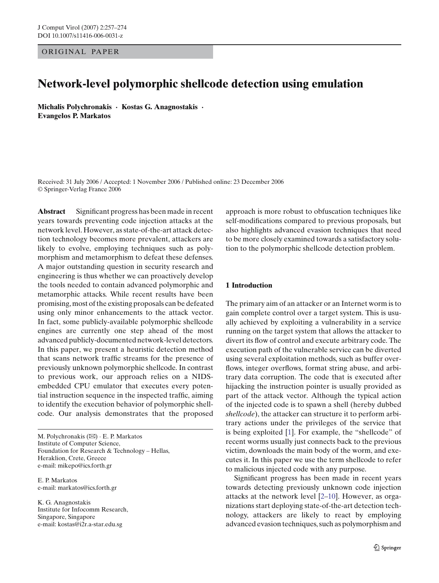ORIGINAL PAPER

# **Network-level polymorphic shellcode detection using emulation**

**Michalis Polychronakis · Kostas G. Anagnostakis · Evangelos P. Markatos**

Received: 31 July 2006 / Accepted: 1 November 2006 / Published online: 23 December 2006 © Springer-Verlag France 2006

**Abstract** Significant progress has been made in recent years towards preventing code injection attacks at the network level. However, as state-of-the-art attack detection technology becomes more prevalent, attackers are likely to evolve, employing techniques such as polymorphism and metamorphism to defeat these defenses. A major outstanding question in security research and engineering is thus whether we can proactively develop the tools needed to contain advanced polymorphic and metamorphic attacks. While recent results have been promising, most of the existing proposals can be defeated using only minor enhancements to the attack vector. In fact, some publicly-available polymorphic shellcode engines are currently one step ahead of the most advanced publicly-documented network-level detectors. In this paper, we present a heuristic detection method that scans network traffic streams for the presence of previously unknown polymorphic shellcode. In contrast to previous work, our approach relies on a NIDSembedded CPU emulator that executes every potential instruction sequence in the inspected traffic, aiming to identify the execution behavior of polymorphic shellcode. Our analysis demonstrates that the proposed

M. Polychronakis  $(\boxtimes) \cdot$  E. P. Markatos Institute of Computer Science, Foundation for Research & Technology – Hellas, Heraklion, Crete, Greece e-mail: mikepo@ics.forth.gr

E. P. Markatos e-mail: markatos@ics.forth.gr

K. G. Anagnostakis Institute for Infocomm Research, Singapore, Singapore e-mail: kostas@i2r.a-star.edu.sg

approach is more robust to obfuscation techniques like self-modifications compared to previous proposals, but also highlights advanced evasion techniques that need to be more closely examined towards a satisfactory solution to the polymorphic shellcode detection problem.

## **1 Introduction**

The primary aim of an attacker or an Internet worm is to gain complete control over a target system. This is usually achieved by exploiting a vulnerability in a service running on the target system that allows the attacker to divert its flow of control and execute arbitrary code. The execution path of the vulnerable service can be diverted using several exploitation methods, such as buffer overflows, integer overflows, format string abuse, and arbitrary data corruption. The code that is executed after hijacking the instruction pointer is usually provided as part of the attack vector. Although the typical action of the injected code is to spawn a shell (hereby dubbed *shellcode*), the attacker can structure it to perform arbitrary actions under the privileges of the service that is being exploited [\[1](#page-15-0)]. For example, the "shellcode" of recent worms usually just connects back to the previous victim, downloads the main body of the worm, and executes it. In this paper we use the term shellcode to refer to malicious injected code with any purpose.

Significant progress has been made in recent years towards detecting previously unknown code injection attacks at the network level [\[2](#page-15-1)[–10\]](#page-16-0). However, as organizations start deploying state-of-the-art detection technology, attackers are likely to react by employing advanced evasion techniques, such as polymorphism and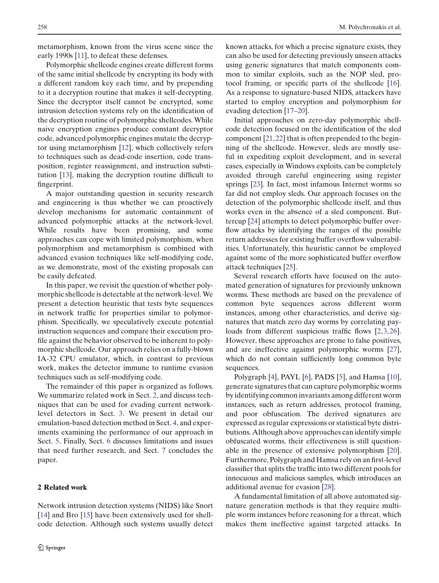metamorphism, known from the virus scene since the early 1990s [\[11\]](#page-16-1), to defeat these defenses.

Polymorphic shellcode engines create different forms of the same initial shellcode by encrypting its body with a different random key each time, and by prepending to it a decryption routine that makes it self-decrypting. Since the decryptor itself cannot be encrypted, some intrusion detection systems rely on the identification of the decryption routine of polymorphic shellcodes. While naive encryption engines produce constant decryptor code, advanced polymorphic engines mutate the decryptor using metamorphism [\[12\]](#page-16-2), which collectively refers to techniques such as dead-code insertion, code transposition, register reassignment, and instruction substitution [\[13](#page-16-3)], making the decryption routine difficult to fingerprint.

A major outstanding question in security research and engineering is thus whether we can proactively develop mechanisms for automatic containment of advanced polymorphic attacks at the network-level. While results have been promising, and some approaches can cope with limited polymorphism, when polymorphism and metamorphism is combined with advanced evasion techniques like self-modifying code, as we demonstrate, most of the existing proposals can be easily defeated.

In this paper, we revisit the question of whether polymorphic shellcode is detectable at the network-level. We present a detection heuristic that tests byte sequences in network traffic for properties similar to polymorphism. Specifically, we speculatively execute potential instruction sequences and compare their execution profile against the behavior observed to be inherent to polymorphic shellcode. Our approach relies on a fully-blown IA-32 CPU emulator, which, in contrast to previous work, makes the detector immune to runtime evasion techniques such as self-modifying code.

The remainder of this paper is organized as follows. We summarize related work in Sect. [2,](#page-1-0) and discuss techniques that can be used for evading current networklevel detectors in Sect. [3.](#page-2-0) We present in detail our emulation-based detection method in Sect. [4,](#page-4-0) and experiments examining the performance of our approach in Sect. [5.](#page-10-0) Finally, Sect. [6](#page-14-0) discusses limitations and issues that need further research, and Sect. [7](#page-15-2) concludes the paper.

# <span id="page-1-0"></span>**2 Related work**

Network intrusion detection systems (NIDS) like Snort [\[14](#page-16-4)] and Bro [\[15](#page-16-5)] have been extensively used for shellcode detection. Although such systems usually detect known attacks, for which a precise signature exists, they can also be used for detecting previously unseen attacks using generic signatures that match components common to similar exploits, such as the NOP sled, protocol framing, or specific parts of the shellcode [\[16](#page-16-6)]. As a response to signature-based NIDS, attackers have started to employ encryption and polymorphism for evading detection [\[17](#page-16-7)[–20\]](#page-16-8).

Initial approaches on zero-day polymorphic shellcode detection focused on the identification of the sled component [\[21](#page-16-9),[22\]](#page-16-10) that is often prepended to the beginning of the shellcode. However, sleds are mostly useful in expediting exploit development, and in several cases, especially in Windows exploits, can be completely avoided through careful engineering using register springs [\[23](#page-16-11)]. In fact, most infamous Internet worms so far did not employ sleds. Our approach focuses on the detection of the polymorphic shellcode itself, and thus works even in the absence of a sled component. Buttercup [\[24](#page-16-12)] attempts to detect polymorphic buffer overflow attacks by identifying the ranges of the possible return addresses for existing buffer overflow vulnerabilities. Unfortunately, this heuristic cannot be employed against some of the more sophisticated buffer overflow attack techniques [\[25](#page-16-13)].

Several research efforts have focused on the automated generation of signatures for previously unknown worms. These methods are based on the prevalence of common byte sequences across different worm instances, among other characteristics, and derive signatures that match zero day worms by correlating pay-loads from different suspicious traffic flows [\[2,](#page-15-1)[3](#page-15-3),[26](#page-16-14)]. However, these approaches are prone to false positives, and are ineffective against polymorphic worms [\[27](#page-16-15)], which do not contain sufficiently long common byte sequences.

Polygraph [\[4](#page-15-4)], PAYL [\[6](#page-15-5)], PADS [\[5\]](#page-15-6), and Hamsa [\[10](#page-16-0)], generate signatures that can capture polymorphic worms by identifying common invariants among different worm instances, such as return addresses, protocol framing, and poor obfuscation. The derived signatures are expressed as regular expressions or statistical byte distributions. Although above approaches can identify simple obfuscated worms, their effectiveness is still questionable in the presence of extensive polymorphism [\[20](#page-16-8)]. Furthermore, Polygraph and Hamsa rely on an first-level classifier that splits the traffic into two different pools for innocuous and malicious samples, which introduces an additional avenue for evasion [\[28\]](#page-16-16).

A fundamental limitation of all above automated signature generation methods is that they require multiple worm instances before reasoning for a threat, which makes them ineffective against targeted attacks. In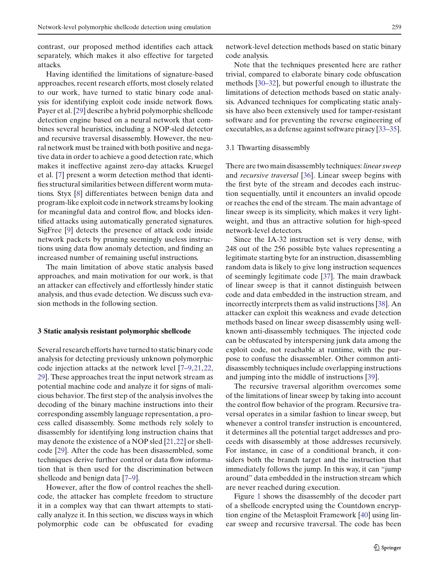contrast, our proposed method identifies each attack separately, which makes it also effective for targeted attacks.

Having identified the limitations of signature-based approaches, recent research efforts, most closely related to our work, have turned to static binary code analysis for identifying exploit code inside network flows. Payer et al. [\[29\]](#page-16-17) describe a hybrid polymorphic shellcode detection engine based on a neural network that combines several heuristics, including a NOP-sled detector and recursive traversal disassembly. However, the neural network must be trained with both positive and negative data in order to achieve a good detection rate, which makes it ineffective against zero-day attacks. Kruegel et al. [\[7\]](#page-16-18) present a worm detection method that identifies structural similarities between different worm mutations. Styx [\[8\]](#page-16-19) differentiates between benign data and program-like exploit code in network streams by looking for meaningful data and control flow, and blocks identified attacks using automatically generated signatures. SigFree [\[9\]](#page-16-20) detects the presence of attack code inside network packets by pruning seemingly useless instructions using data flow anomaly detection, and finding an increased number of remaining useful instructions.

The main limitation of above static analysis based approaches, and main motivation for our work, is that an attacker can effectively and effortlessly hinder static analysis, and thus evade detection. We discuss such evasion methods in the following section.

#### <span id="page-2-0"></span>**3 Static analysis resistant polymorphic shellcode**

Several research efforts have turned to static binary code analysis for detecting previously unknown polymorphic code injection attacks at the network level [\[7](#page-16-18)[–9](#page-16-20)[,21](#page-16-9),[22,](#page-16-10) [29\]](#page-16-17). These approaches treat the input network stream as potential machine code and analyze it for signs of malicious behavior. The first step of the analysis involves the decoding of the binary machine instructions into their corresponding assembly language representation, a process called disassembly. Some methods rely solely to disassembly for identifying long instruction chains that may denote the existence of a NOP sled [\[21,](#page-16-9)[22](#page-16-10)] or shellcode [\[29\]](#page-16-17). After the code has been disassembled, some techniques derive further control or data flow information that is then used for the discrimination between shellcode and benign data [\[7](#page-16-18)[–9\]](#page-16-20).

However, after the flow of control reaches the shellcode, the attacker has complete freedom to structure it in a complex way that can thwart attempts to statically analyze it. In this section, we discuss ways in which polymorphic code can be obfuscated for evading network-level detection methods based on static binary code analysis.

Note that the techniques presented here are rather trivial, compared to elaborate binary code obfuscation methods [\[30](#page-16-21)[–32](#page-16-22)], but powerful enough to illustrate the limitations of detection methods based on static analysis. Advanced techniques for complicating static analysis have also been extensively used for tamper-resistant software and for preventing the reverse engineering of executables, as a defense against software piracy [\[33](#page-16-23)[–35](#page-16-24)].

# 3.1 Thwarting disassembly

There are two main disassembly techniques: *linear sweep* and *recursive traversal* [\[36\]](#page-16-25). Linear sweep begins with the first byte of the stream and decodes each instruction sequentially, until it encounters an invalid opcode or reaches the end of the stream. The main advantage of linear sweep is its simplicity, which makes it very lightweight, and thus an attractive solution for high-speed network-level detectors.

Since the IA-32 instruction set is very dense, with 248 out of the 256 possible byte values representing a legitimate starting byte for an instruction, disassembling random data is likely to give long instruction sequences of seemingly legitimate code [\[37](#page-16-26)]. The main drawback of linear sweep is that it cannot distinguish between code and data embedded in the instruction stream, and incorrectly interprets them as valid instructions [\[38\]](#page-16-27). An attacker can exploit this weakness and evade detection methods based on linear sweep disassembly using wellknown anti-disassembly techniques. The injected code can be obfuscated by interspersing junk data among the exploit code, not reachable at runtime, with the purpose to confuse the disassembler. Other common antidisassembly techniques include overlapping instructions and jumping into the middle of instructions [\[39\]](#page-16-28).

The recursive traversal algorithm overcomes some of the limitations of linear sweep by taking into account the control flow behavior of the program. Recursive traversal operates in a similar fashion to linear sweep, but whenever a control transfer instruction is encountered, it determines all the potential target addresses and proceeds with disassembly at those addresses recursively. For instance, in case of a conditional branch, it considers both the branch target and the instruction that immediately follows the jump. In this way, it can "jump around" data embedded in the instruction stream which are never reached during execution.

Figure [1](#page-3-0) shows the disassembly of the decoder part of a shellcode encrypted using the Countdown encryption engine of the Metasploit Framework [\[40](#page-16-29)] using linear sweep and recursive traversal. The code has been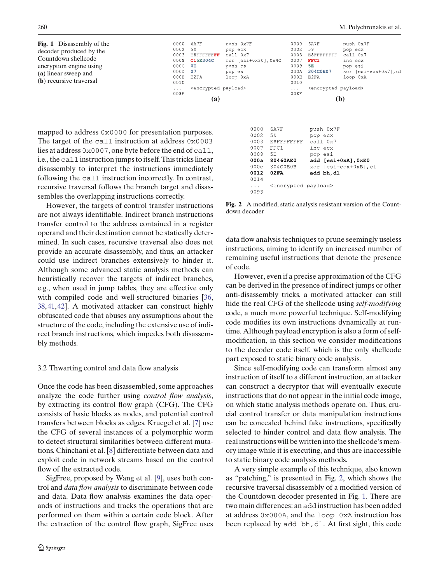<span id="page-3-0"></span>**Fig. 1** Disassembly of the decoder produced by the Countdown shellcode encryption engine using (**a**) linear sweep and (**b**) recursive traversal



mapped to address 0x0000 for presentation purposes. The target of the call instruction at address  $0 \times 0003$ lies at address 0x0007, one byte before the end of call, i.e., the call instruction jumps to itself. This tricks linear disassembly to interpret the instructions immediately following the call instruction incorrectly. In contrast, recursive traversal follows the branch target and disassembles the overlapping instructions correctly.

However, the targets of control transfer instructions are not always identifiable. Indirect branch instructions transfer control to the address contained in a register operand and their destination cannot be statically determined. In such cases, recursive traversal also does not provide an accurate disassembly, and thus, an attacker could use indirect branches extensively to hinder it. Although some advanced static analysis methods can heuristically recover the targets of indirect branches, e.g., when used in jump tables, they are effective only with compiled code and well-structured binaries [\[36,](#page-16-25) [38](#page-16-27)[,41](#page-16-30),[42\]](#page-16-31). A motivated attacker can construct highly obfuscated code that abuses any assumptions about the structure of the code, including the extensive use of indirect branch instructions, which impedes both disassembly methods.

### <span id="page-3-2"></span>3.2 Thwarting control and data flow analysis

Once the code has been disassembled, some approaches analyze the code further using *control flow analysis*, by extracting its control flow graph (CFG). The CFG consists of basic blocks as nodes, and potential control transfers between blocks as edges. Kruegel et al. [\[7](#page-16-18)] use the CFG of several instances of a polymorphic worm to detect structural similarities between different mutations. Chinchani et al. [\[8\]](#page-16-19) differentiate between data and exploit code in network streams based on the control flow of the extracted code.

SigFree, proposed by Wang et al. [\[9\]](#page-16-20), uses both control and *data flow analysis* to discriminate between code and data. Data flow analysis examines the data operands of instructions and tracks the operations that are performed on them within a certain code block. After the extraction of the control flow graph, SigFree uses

| 0000     | 6A7F                               | push 0x7F             |
|----------|------------------------------------|-----------------------|
| 0002     | 59                                 | pop ecx               |
| 0003     | <b>ESFFFFFFFFF</b>                 | call 0x7              |
| 0007     | FFC1                               | inc ecx               |
| 0009     | 5E                                 | pop esi               |
| 000a     | 80460AE0                           | add [esi+0xA],0xE0    |
| 000e     | 304C0E0B                           | xor [esi+ecx+0xB], cl |
| 0012     | 02FA                               | add bh,dl             |
| 0014     |                                    |                       |
| $\cdots$ | <encrypted payload=""></encrypted> |                       |
| 0093     |                                    |                       |

<span id="page-3-1"></span>**Fig. 2** A modified, static analysis resistant version of the Countdown decoder

data flow analysis techniques to prune seemingly useless instructions, aiming to identify an increased number of remaining useful instructions that denote the presence of code.

However, even if a precise approximation of the CFG can be derived in the presence of indirect jumps or other anti-disassembly tricks, a motivated attacker can still hide the real CFG of the shellcode using *self-modifying* code, a much more powerful technique. Self-modifying code modifies its own instructions dynamically at runtime. Although payload encryption is also a form of selfmodification, in this section we consider modifications to the decoder code itself, which is the only shellcode part exposed to static binary code analysis.

Since self-modifying code can transform almost any instruction of itself to a different instruction, an attacker can construct a decryptor that will eventually execute instructions that do not appear in the initial code image, on which static analysis methods operate on. Thus, crucial control transfer or data manipulation instructions can be concealed behind fake instructions, specifically selected to hinder control and data flow analysis. The real instructions will be written into the shellcode's memory image while it is executing, and thus are inaccessible to static binary code analysis methods.

A very simple example of this technique, also known as "patching," is presented in Fig. [2,](#page-3-1) which shows the recursive traversal disassembly of a modified version of the Countdown decoder presented in Fig. [1.](#page-3-0) There are two main differences: an add instruction has been added at address 0x000A, and the loop 0xA instruction has been replaced by add bh, dl. At first sight, this code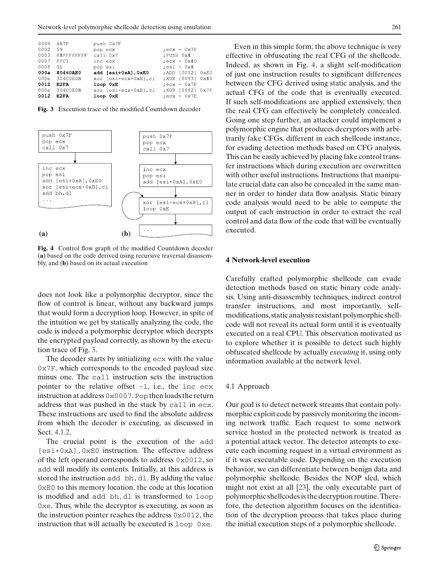| 0012 | E2FA          | loop 0xE              | $: \sec x = 0 \times 7E$ |
|------|---------------|-----------------------|--------------------------|
|      | 000e 304C0E0B | xor [esi+ecx+0xB], cl | ;XOR [0092] 0x7F         |
| 0012 | E2FA          | loop 0xE              | $: \sec x = 0 \times 7F$ |
|      | 000e 304C0E0B | xor [esi+ecx+0xB], cl | :XOR [0093] 0x80         |
| 000a | 80460AE0      | add [esi+0xA], 0xE0   | :ADD [0012] 0xE0         |
| 0009 | 5E.           | pop esi               | $: esi = 0x8$            |
|      | 0007 FFC1     | inc ecx               | $:ex = 0x80$             |
| 0003 | E8FFFFFFFFF   | $cal1$ $0x7$          | ;PUSH 0x8                |
| 0002 | 59.           | pop ecx               | $:$ ecx = $0x7F$         |
| 0000 | 6A7F          | push 0x7F             |                          |

**Fig. 3** Execution trace of the modified Countdown decoder

<span id="page-4-1"></span>

<span id="page-4-2"></span>**Fig. 4** Control flow graph of the modified Countdown decoder (**a**) based on the code derived using recursive traversal disassembly, and (**b**) based on its actual execution

does not look like a polymorphic decryptor, since the flow of control is linear, without any backward jumps that would form a decryption loop. However, in spite of the intuition we get by statically analyzing the code, the code is indeed a polymorphic decryptor which decrypts the encrypted payload correctly, as shown by the execution trace of Fig. [3.](#page-4-1)

The decoder starts by initializing ecx with the value 0x7F, which corresponds to the encoded payload size minus one. The call instruction sets the instruction pointer to the relative offset -1, i.e., the inc ecx instruction at address  $0 \times 0007$ . Pop then loads the return address that was pushed in the stack by call in ecx. These instructions are used to find the absolute address from which the decoder is executing, as discussed in Sect. [4.1.2.](#page-5-0)

The crucial point is the execution of the add [esi+0xA], 0xE0 instruction. The effective address of the left operand corresponds to address 0x0012, so add will modify its contents. Initially, at this address is stored the instruction add  $bh$ , dl. By adding the value 0xE0 to this memory location, the code at this location is modified and add bh,dl is transformed to loop 0xe. Thus, while the decryptor is executing, as soon as the instruction pointer reaches the address 0x0012, the instruction that will actually be executed is loop 0xe.

Even in this simple form, the above technique is very effective in obfuscating the real CFG of the shellcode. Indeed, as shown in Fig. [4,](#page-4-2) a slight self-modification of just one instruction results to significant differences between the CFG derived using static analysis, and the actual CFG of the code that is eventually executed. If such self-modifications are applied extensively, then the real CFG can effectively be completely concealed. Going one step further, an attacker could implement a polymorphic engine that produces decryptors with arbitrarily fake CFGs, different in each shellcode instance, for evading detection methods based on CFG analysis. This can be easily achieved by placing fake control transfer instructions which during execution are overwritten with other useful instructions. Instructions that manipulate crucial data can also be concealed in the same manner in order to hinder data flow analysis. Static binary code analysis would need to be able to compute the output of each instruction in order to extract the real control and data flow of the code that will be eventually executed.

## <span id="page-4-0"></span>**4 Network-level execution**

Carefully crafted polymorphic shellcode can evade detection methods based on static binary code analysis. Using anti-disassembly techniques, indirect control transfer instructions, and most importantly, selfmodifications, static analysis resistant polymorphic shellcode will not reveal its actual form until it is eventually executed on a real CPU. This observation motivated us to explore whether it is possible to detect such highly obfuscated shellcode by actually *executing* it, using only information available at the network level.

#### 4.1 Approach

Our goal is to detect network streams that contain polymorphic exploit code by passively monitoring the incoming network traffic. Each request to some network service hosted in the protected network is treated as a potential attack vector. The detector attempts to execute each incoming request in a virtual environment as if it was executable code. Depending on the execution behavior, we can differentiate between benign data and polymorphic shellcode. Besides the NOP sled, which might not exist at all [\[23](#page-16-11)], the only executable part of polymorphic shellcodes is the decryption routine. Therefore, the detection algorithm focuses on the identification of the decryption process that takes place during the initial execution steps of a polymorphic shellcode.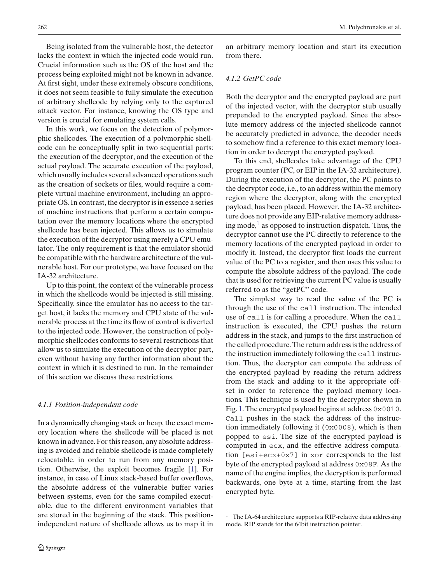Being isolated from the vulnerable host, the detector lacks the context in which the injected code would run. Crucial information such as the OS of the host and the process being exploited might not be known in advance. At first sight, under these extremely obscure conditions, it does not seem feasible to fully simulate the execution of arbitrary shellcode by relying only to the captured attack vector. For instance, knowing the OS type and version is crucial for emulating system calls.

In this work, we focus on the detection of polymorphic shellcodes. The execution of a polymorphic shellcode can be conceptually split in two sequential parts: the execution of the decryptor, and the execution of the actual payload. The accurate execution of the payload, which usually includes several advanced operations such as the creation of sockets or files, would require a complete virtual machine environment, including an appropriate OS. In contrast, the decryptor is in essence a series of machine instructions that perform a certain computation over the memory locations where the encrypted shellcode has been injected. This allows us to simulate the execution of the decryptor using merely a CPU emulator. The only requirement is that the emulator should be compatible with the hardware architecture of the vulnerable host. For our prototype, we have focused on the IA-32 architecture.

Up to this point, the context of the vulnerable process in which the shellcode would be injected is still missing. Specifically, since the emulator has no access to the target host, it lacks the memory and CPU state of the vulnerable process at the time its flow of control is diverted to the injected code. However, the construction of polymorphic shellcodes conforms to several restrictions that allow us to simulate the execution of the decryptor part, even without having any further information about the context in which it is destined to run. In the remainder of this section we discuss these restrictions.

## *4.1.1 Position-independent code*

In a dynamically changing stack or heap, the exact memory location where the shellcode will be placed is not known in advance. For this reason, any absolute addressing is avoided and reliable shellcode is made completely relocatable, in order to run from any memory position. Otherwise, the exploit becomes fragile [\[1\]](#page-15-0). For instance, in case of Linux stack-based buffer overflows, the absolute address of the vulnerable buffer varies between systems, even for the same compiled executable, due to the different environment variables that are stored in the beginning of the stack. This positionindependent nature of shellcode allows us to map it in an arbitrary memory location and start its execution from there.

# <span id="page-5-0"></span>*4.1.2 GetPC code*

Both the decryptor and the encrypted payload are part of the injected vector, with the decryptor stub usually prepended to the encrypted payload. Since the absolute memory address of the injected shellcode cannot be accurately predicted in advance, the decoder needs to somehow find a reference to this exact memory location in order to decrypt the encrypted payload.

To this end, shellcodes take advantage of the CPU program counter (PC, or EIP in the IA-32 architecture). During the execution of the decryptor, the PC points to the decryptor code, i.e., to an address within the memory region where the decryptor, along with the encrypted payload, has been placed. However, the IA-32 architecture does not provide any EIP-relative memory addressing mode, $\frac{1}{1}$  $\frac{1}{1}$  $\frac{1}{1}$  as opposed to instruction dispatch. Thus, the decryptor cannot use the PC directly to reference to the memory locations of the encrypted payload in order to modify it. Instead, the decryptor first loads the current value of the PC to a register, and then uses this value to compute the absolute address of the payload. The code that is used for retrieving the current PC value is usually referred to as the "getPC" code.

The simplest way to read the value of the PC is through the use of the call instruction. The intended use of call is for calling a procedure. When the call instruction is executed, the CPU pushes the return address in the stack, and jumps to the first instruction of the called procedure. The return address is the address of the instruction immediately following the call instruction. Thus, the decryptor can compute the address of the encrypted payload by reading the return address from the stack and adding to it the appropriate offset in order to reference the payload memory locations. This technique is used by the decryptor shown in Fig. [1.](#page-3-0) The encrypted payload begins at address 0x0010. Call pushes in the stack the address of the instruction immediately following it  $(0x0008)$ , which is then popped to esi. The size of the encrypted payload is computed in ecx, and the effective address computation [esi+ecx+0x7] in xor corresponds to the last byte of the encrypted payload at address 0x08F. As the name of the engine implies, the decryption is performed backwards, one byte at a time, starting from the last encrypted byte.

<span id="page-5-1"></span> $1$  The IA-64 architecture supports a RIP-relative data addressing mode. RIP stands for the 64bit instruction pointer.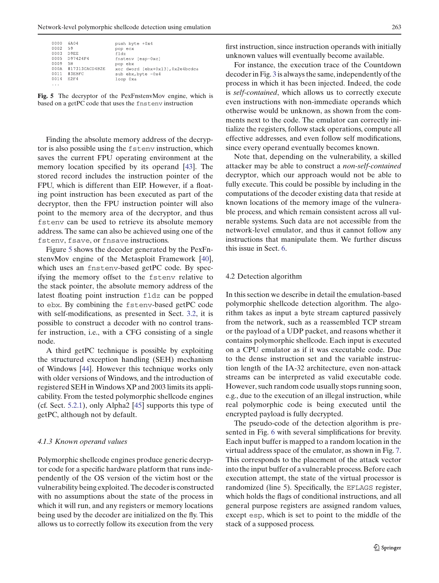Network-level polymorphic shellcode detection using emulation 263

| 6A04<br>0000<br>push byte +0x4<br>0002<br>59<br>pop ecx<br>0003<br>D 9EE<br>fldz.<br>0005 D97424F4<br>fnstenv [esp-0xc]<br>0009<br>5B<br>pop ebx<br>000A 817313CACD4B2E<br>xor dword [ebx+0x13], 0x2e4bcdca<br>0011<br>83EBFC<br>$sub$ ebx, byte $-0x4$<br>0014<br><b>E2F4</b><br>loop 0xa |
|--------------------------------------------------------------------------------------------------------------------------------------------------------------------------------------------------------------------------------------------------------------------------------------------|
|--------------------------------------------------------------------------------------------------------------------------------------------------------------------------------------------------------------------------------------------------------------------------------------------|

<span id="page-6-0"></span>**Fig. 5** The decryptor of the PexFnstenvMov engine, which is based on a getPC code that uses the fnstenv instruction

Finding the absolute memory address of the decryptor is also possible using the fstenv instruction, which saves the current FPU operating environment at the memory location specified by its operand [\[43](#page-16-32)]. The stored record includes the instruction pointer of the FPU, which is different than EIP. However, if a floating point instruction has been executed as part of the decryptor, then the FPU instruction pointer will also point to the memory area of the decryptor, and thus fstenv can be used to retrieve its absolute memory address. The same can also be achieved using one of the fstenv, fsave, or fnsave instructions.

Figure [5](#page-6-0) shows the decoder generated by the PexFnstenvMov engine of the Metasploit Framework [\[40](#page-16-29)], which uses an fnstenv-based getPC code. By specifying the memory offset to the fstenv relative to the stack pointer, the absolute memory address of the latest floating point instruction fldz can be popped to ebx. By combining the fstenv-based getPC code with self-modifications, as presented in Sect. [3.2,](#page-3-2) it is possible to construct a decoder with no control transfer instruction, i.e., with a CFG consisting of a single node.

A third getPC technique is possible by exploiting the structured exception handling (SEH) mechanism of Windows [\[44](#page-16-33)]. However this technique works only with older versions of Windows, and the introduction of registered SEH in Windows XP and 2003 limits its applicability. From the tested polymorphic shellcode engines (cf. Sect. [5.2.1\)](#page-12-0), only Alpha2 [\[45](#page-16-34)] supports this type of getPC, although not by default.

# *4.1.3 Known operand values*

Polymorphic shellcode engines produce generic decryptor code for a specific hardware platform that runs independently of the OS version of the victim host or the vulnerability being exploited. The decoder is constructed with no assumptions about the state of the process in which it will run, and any registers or memory locations being used by the decoder are initialized on the fly. This allows us to correctly follow its execution from the very first instruction, since instruction operands with initially unknown values will eventually become available.

For instance, the execution trace of the Countdown decoder in Fig. [3](#page-4-1) is always the same, independently of the process in which it has been injected. Indeed, the code is *self-contained*, which allows us to correctly execute even instructions with non-immediate operands which otherwise would be unknown, as shown from the comments next to the code. The emulator can correctly initialize the registers, follow stack operations, compute all effective addresses, and even follow self modifications, since every operand eventually becomes known.

Note that, depending on the vulnerability, a skilled attacker may be able to construct a *non-self-contained* decryptor, which our approach would not be able to fully execute. This could be possible by including in the computations of the decoder existing data that reside at known locations of the memory image of the vulnerable process, and which remain consistent across all vulnerable systems. Such data are not accessible from the network-level emulator, and thus it cannot follow any instructions that manipulate them. We further discuss this issue in Sect. [6.](#page-14-0)

# 4.2 Detection algorithm

In this section we describe in detail the emulation-based polymorphic shellcode detection algorithm. The algorithm takes as input a byte stream captured passively from the network, such as a reassembled TCP stream or the payload of a UDP packet, and reasons whether it contains polymorphic shellcode. Each input is executed on a CPU emulator as if it was executable code. Due to the dense instruction set and the variable instruction length of the IA-32 architecture, even non-attack streams can be interpreted as valid executable code. However, such random code usually stops running soon, e.g., due to the execution of an illegal instruction, while real polymorphic code is being executed until the encrypted payload is fully decrypted.

The pseudo-code of the detection algorithm is presented in Fig. [6](#page-7-0) with several simplifications for brevity. Each input buffer is mapped to a random location in the virtual address space of the emulator, as shown in Fig. [7.](#page-7-1) This corresponds to the placement of the attack vector into the input buffer of a vulnerable process. Before each execution attempt, the state of the virtual processor is randomized (line 5). Specifically, the EFLAGS register, which holds the flags of conditional instructions, and all general purpose registers are assigned random values, except esp, which is set to point to the middle of the stack of a supposed process.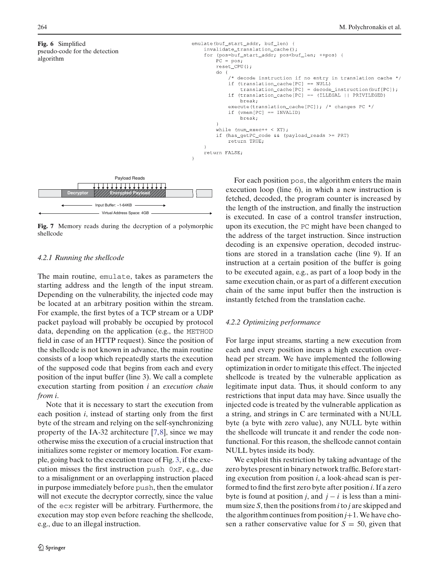```
Fig. 6 Simplified
                                                    emulate(buf_start_addr, buf_len) {
                                                        invalidate translation cache():
pseudo-code for the detection
                                                        for (pos=buf_start_addr; pos<buf_len; ++pos)
algorithm
                                                            PC = pos;reset CPU();
                                                            do f/* decode instruction if no entry in translation cache */
                                                                if (translation\_cache[PC] == NULL)translation_cache[PC] = decode_instruction(buf[PC]);
                                                                 if (translation\_cache[PC] == (ILLEGL || PRIVILEGED))break;
                                                                 execute (translation cache [PC]); /* changes PC */
                                                                 if (vmem[PC] == INVALID)break;
                                                            while (num\_exec++ < XT);
                                                            if (has_getPC_code && (payload_reads >= PRT)
                                                                return TRUE;
                                                        return FALSE;
```


<span id="page-7-1"></span>**Fig. 7** Memory reads during the decryption of a polymorphic shellcode

# *4.2.1 Running the shellcode*

The main routine, emulate, takes as parameters the starting address and the length of the input stream. Depending on the vulnerability, the injected code may be located at an arbitrary position within the stream. For example, the first bytes of a TCP stream or a UDP packet payload will probably be occupied by protocol data, depending on the application (e.g., the METHOD field in case of an HTTP request). Since the position of the shellcode is not known in advance, the main routine consists of a loop which repeatedly starts the execution of the supposed code that begins from each and every position of the input buffer (line 3). We call a complete execution starting from position *i* an *execution chain from i*.

Note that it is necessary to start the execution from each position *i*, instead of starting only from the first byte of the stream and relying on the self-synchronizing property of the IA-32 architecture [\[7](#page-16-18),[8\]](#page-16-19), since we may otherwise miss the execution of a crucial instruction that initializes some register or memory location. For example, going back to the execution trace of Fig. [3,](#page-4-1) if the execution misses the first instruction push 0xF, e.g., due to a misalignment or an overlapping instruction placed in purpose immediately before push, then the emulator will not execute the decryptor correctly, since the value of the ecx register will be arbitrary. Furthermore, the execution may stop even before reaching the shellcode, e.g., due to an illegal instruction.

For each position pos, the algorithm enters the main execution loop (line 6), in which a new instruction is fetched, decoded, the program counter is increased by the length of the instruction, and finally the instruction is executed. In case of a control transfer instruction, upon its execution, the PC might have been changed to the address of the target instruction. Since instruction decoding is an expensive operation, decoded instructions are stored in a translation cache (line 9). If an instruction at a certain position of the buffer is going to be executed again, e.g., as part of a loop body in the same execution chain, or as part of a different execution chain of the same input buffer then the instruction is instantly fetched from the translation cache.

# *4.2.2 Optimizing performance*

For large input streams, starting a new execution from each and every position incurs a high execution overhead per stream. We have implemented the following optimization in order to mitigate this effect. The injected shellcode is treated by the vulnerable application as legitimate input data. Thus, it should conform to any restrictions that input data may have. Since usually the injected code is treated by the vulnerable application as a string, and strings in C are terminated with a NULL byte (a byte with zero value), any NULL byte within the shellcode will truncate it and render the code nonfunctional. For this reason, the shellcode cannot contain NULL bytes inside its body.

We exploit this restriction by taking advantage of the zero bytes present in binary network traffic. Before starting execution from position *i*, a look-ahead scan is performed to find the first zero byte after position *i*. If a zero byte is found at position *j*, and  $j - i$  is less than a minimum size *S*, then the positions from *i* to *j* are skipped and the algorithm continues from position  $j+1$ . We have chosen a rather conservative value for  $S = 50$ , given that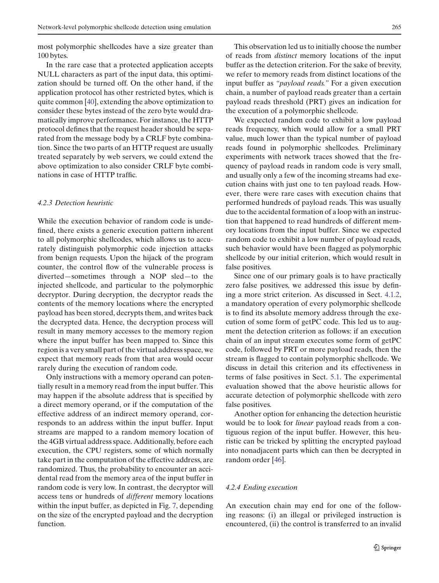most polymorphic shellcodes have a size greater than 100 bytes.

In the rare case that a protected application accepts NULL characters as part of the input data, this optimization should be turned off. On the other hand, if the application protocol has other restricted bytes, which is quite common [\[40\]](#page-16-29), extending the above optimization to consider these bytes instead of the zero byte would dramatically improve performance. For instance, the HTTP protocol defines that the request header should be separated from the message body by a CRLF byte combination. Since the two parts of an HTTP request are usually treated separately by web servers, we could extend the above optimization to also consider CRLF byte combinations in case of HTTP traffic.

# <span id="page-8-0"></span>*4.2.3 Detection heuristic*

While the execution behavior of random code is undefined, there exists a generic execution pattern inherent to all polymorphic shellcodes, which allows us to accurately distinguish polymorphic code injection attacks from benign requests. Upon the hijack of the program counter, the control flow of the vulnerable process is diverted—sometimes through a NOP sled—to the injected shellcode, and particular to the polymorphic decryptor. During decryption, the decryptor reads the contents of the memory locations where the encrypted payload has been stored, decrypts them, and writes back the decrypted data. Hence, the decryption process will result in many memory accesses to the memory region where the input buffer has been mapped to. Since this region is a very small part of the virtual address space, we expect that memory reads from that area would occur rarely during the execution of random code.

Only instructions with a memory operand can potentially result in a memory read from the input buffer. This may happen if the absolute address that is specified by a direct memory operand, or if the computation of the effective address of an indirect memory operand, corresponds to an address within the input buffer. Input streams are mapped to a random memory location of the 4GB virtual address space. Additionally, before each execution, the CPU registers, some of which normally take part in the computation of the effective address, are randomized. Thus, the probability to encounter an accidental read from the memory area of the input buffer in random code is very low. In contrast, the decryptor will access tens or hundreds of *different* memory locations within the input buffer, as depicted in Fig. [7,](#page-7-1) depending on the size of the encrypted payload and the decryption function.

This observation led us to initially choose the number of reads from *distinct* memory locations of the input buffer as the detection criterion. For the sake of brevity, we refer to memory reads from distinct locations of the input buffer as *"payload reads."* For a given execution chain, a number of payload reads greater than a certain payload reads threshold (PRT) gives an indication for the execution of a polymorphic shellcode.

We expected random code to exhibit a low payload reads frequency, which would allow for a small PRT value, much lower than the typical number of payload reads found in polymorphic shellcodes. Preliminary experiments with network traces showed that the frequency of payload reads in random code is very small, and usually only a few of the incoming streams had execution chains with just one to ten payload reads. However, there were rare cases with execution chains that performed hundreds of payload reads. This was usually due to the accidental formation of a loop with an instruction that happened to read hundreds of different memory locations from the input buffer. Since we expected random code to exhibit a low number of payload reads, such behavior would have been flagged as polymorphic shellcode by our initial criterion, which would result in false positives.

Since one of our primary goals is to have practically zero false positives, we addressed this issue by defining a more strict criterion. As discussed in Sect. [4.1.2,](#page-5-0) a mandatory operation of every polymorphic shellcode is to find its absolute memory address through the execution of some form of getPC code. This led us to augment the detection criterion as follows: if an execution chain of an input stream executes some form of getPC code, followed by PRT or more payload reads, then the stream is flagged to contain polymorphic shellcode. We discuss in detail this criterion and its effectiveness in terms of false positives in Sect. [5.1.](#page-10-1) The experimental evaluation showed that the above heuristic allows for accurate detection of polymorphic shellcode with zero false positives.

Another option for enhancing the detection heuristic would be to look for *linear* payload reads from a contiguous region of the input buffer. However, this heuristic can be tricked by splitting the encrypted payload into nonadjacent parts which can then be decrypted in random order [\[46](#page-16-35)].

## *4.2.4 Ending execution*

An execution chain may end for one of the following reasons: (i) an illegal or privileged instruction is encountered, (ii) the control is transferred to an invalid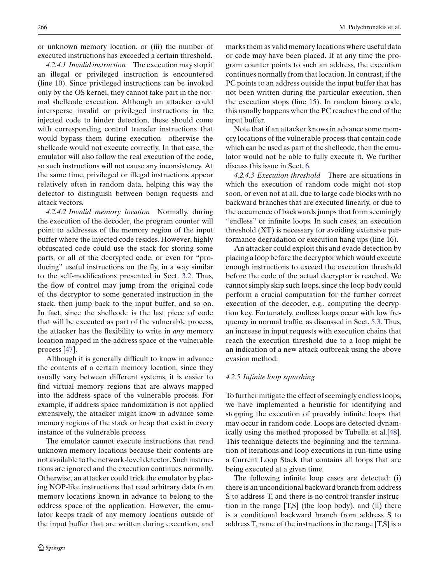or unknown memory location, or (iii) the number of executed instructions has exceeded a certain threshold.

*4.2.4.1 Invalid instruction* The execution may stop if an illegal or privileged instruction is encountered (line 10). Since privileged instructions can be invoked only by the OS kernel, they cannot take part in the normal shellcode execution. Although an attacker could intersperse invalid or privileged instructions in the injected code to hinder detection, these should come with corresponding control transfer instructions that would bypass them during execution—otherwise the shellcode would not execute correctly. In that case, the emulator will also follow the real execution of the code, so such instructions will not cause any inconsistency. At the same time, privileged or illegal instructions appear relatively often in random data, helping this way the detector to distinguish between benign requests and attack vectors.

*4.2.4.2 Invalid memory location* Normally, during the execution of the decoder, the program counter will point to addresses of the memory region of the input buffer where the injected code resides. However, highly obfuscated code could use the stack for storing some parts, or all of the decrypted code, or even for "producing" useful instructions on the fly, in a way similar to the self-modifications presented in Sect. [3.2.](#page-3-2) Thus, the flow of control may jump from the original code of the decryptor to some generated instruction in the stack, then jump back to the input buffer, and so on. In fact, since the shellcode is the last piece of code that will be executed as part of the vulnerable process, the attacker has the flexibility to write in *any* memory location mapped in the address space of the vulnerable process [\[47\]](#page-17-0).

Although it is generally difficult to know in advance the contents of a certain memory location, since they usually vary between different systems, it is easier to find virtual memory regions that are always mapped into the address space of the vulnerable process. For example, if address space randomization is not applied extensively, the attacker might know in advance some memory regions of the stack or heap that exist in every instance of the vulnerable process.

The emulator cannot execute instructions that read unknown memory locations because their contents are not available to the network-level detector. Such instructions are ignored and the execution continues normally. Otherwise, an attacker could trick the emulator by placing NOP-like instructions that read arbitrary data from memory locations known in advance to belong to the address space of the application. However, the emulator keeps track of any memory locations outside of the input buffer that are written during execution, and marks them as valid memory locations where useful data or code may have been placed. If at any time the program counter points to such an address, the execution continues normally from that location. In contrast, if the PC points to an address outside the input buffer that has not been written during the particular execution, then the execution stops (line 15). In random binary code, this usually happens when the PC reaches the end of the input buffer.

Note that if an attacker knows in advance some memory locations of the vulnerable process that contain code which can be used as part of the shellcode, then the emulator would not be able to fully execute it. We further discuss this issue in Sect. [6.](#page-14-0)

<span id="page-9-0"></span>*4.2.4.3 Execution threshold* There are situations in which the execution of random code might not stop soon, or even not at all, due to large code blocks with no backward branches that are executed linearly, or due to the occurrence of backwards jumps that form seemingly "endless" or infinite loops. In such cases, an execution threshold (XT) is necessary for avoiding extensive performance degradation or execution hang ups (line 16).

An attacker could exploit this and evade detection by placing a loop before the decryptor which would execute enough instructions to exceed the execution threshold before the code of the actual decryptor is reached. We cannot simply skip such loops, since the loop body could perform a crucial computation for the further correct execution of the decoder, e.g., computing the decryption key. Fortunately, endless loops occur with low frequency in normal traffic, as discussed in Sect. [5.3.](#page-12-1) Thus, an increase in input requests with execution chains that reach the execution threshold due to a loop might be an indication of a new attack outbreak using the above evasion method.

# *4.2.5 Infinite loop squashing*

To further mitigate the effect of seemingly endless loops, we have implemented a heuristic for identifying and stopping the execution of provably infinite loops that may occur in random code. Loops are detected dynamically using the method proposed by Tubella et al.[\[48](#page-17-1)]. This technique detects the beginning and the termination of iterations and loop executions in run-time using a Current Loop Stack that contains all loops that are being executed at a given time.

The following infinite loop cases are detected: (i) there is an unconditional backward branch from address S to address T, and there is no control transfer instruction in the range [T,S] (the loop body), and (ii) there is a conditional backward branch from address S to address T, none of the instructions in the range [T,S] is a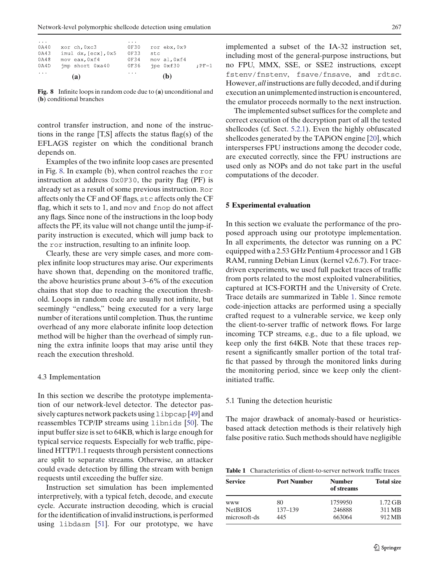| $\sim$ $\sim$ $\sim$ | (a)                 | $\cdots$ | (b)          |         |
|----------------------|---------------------|----------|--------------|---------|
| 0A4D                 | imp short 0xa40     | 0F36     | ipe 0xf30    | $;PF=1$ |
| 0A48                 | mov eax.0xf4        | 0F34     | mov al, 0xf4 |         |
| 0A43                 | imul dx, [ecx], 0x5 | 0F33     | st.c         |         |
| 0A40                 | xor ch. 0xc3        | 0F30     | ror ebx, 0x9 |         |
|                      |                     |          |              |         |

<span id="page-10-2"></span>**Fig. 8** Infinite loops in random code due to (**a**) unconditional and (**b**) conditional branches

control transfer instruction, and none of the instructions in the range [T,S] affects the status flag(s) of the EFLAGS register on which the conditional branch depends on.

Examples of the two infinite loop cases are presented in Fig. [8.](#page-10-2) In example (b), when control reaches the ror instruction at address 0x0F30, the parity flag (PF) is already set as a result of some previous instruction. Ror affects only the CF and OF flags, stc affects only the CF flag, which it sets to 1, and mov and fnop do not affect any flags. Since none of the instructions in the loop body affects the PF, its value will not change until the jump-ifparity instruction is executed, which will jump back to the ror instruction, resulting to an infinite loop.

Clearly, these are very simple cases, and more complex infinite loop structures may arise. Our experiments have shown that, depending on the monitored traffic, the above heuristics prune about 3–6% of the execution chains that stop due to reaching the execution threshold. Loops in random code are usually not infinite, but seemingly "endless," being executed for a very large number of iterations until completion. Thus, the runtime overhead of any more elaborate infinite loop detection method will be higher than the overhead of simply running the extra infinite loops that may arise until they reach the execution threshold.

## 4.3 Implementation

In this section we describe the prototype implementation of our network-level detector. The detector passively captures network packets using libpcap [\[49](#page-17-2)] and reassembles TCP/IP streams using libnids [\[50](#page-17-3)]. The input buffer size is set to 64KB, which is large enough for typical service requests. Especially for web traffic, pipelined HTTP/1.1 requests through persistent connections are split to separate streams. Otherwise, an attacker could evade detection by filling the stream with benign requests until exceeding the buffer size.

Instruction set simulation has been implemented interpretively, with a typical fetch, decode, and execute cycle. Accurate instruction decoding, which is crucial for the identification of invalid instructions, is performed using libdasm [\[51](#page-17-4)]. For our prototype, we have

implemented a subset of the IA-32 instruction set, including most of the general-purpose instructions, but no FPU, MMX, SSE, or SSE2 instructions, except fstenv/fnstenv, fsave/fnsave, and rdtsc. However, *all* instructions are fully decoded, and if during execution an unimplemented instruction is encountered, the emulator proceeds normally to the next instruction.

The implemented subset suffices for the complete and correct execution of the decryption part of all the tested shellcodes (cf. Sect. [5.2.1\)](#page-12-0). Even the highly obfuscated shellcodes generated by the TAPiON engine [\[20](#page-16-8)], which intersperses FPU instructions among the decoder code, are executed correctly, since the FPU instructions are used only as NOPs and do not take part in the useful computations of the decoder.

#### <span id="page-10-0"></span>**5 Experimental evaluation**

In this section we evaluate the performance of the proposed approach using our prototype implementation. In all experiments, the detector was running on a PC equipped with a 2.53 GHz Pentium 4 processor and 1 GB RAM, running Debian Linux (kernel v2.6.7). For tracedriven experiments, we used full packet traces of traffic from ports related to the most exploited vulnerabilities, captured at ICS-FORTH and the University of Crete. Trace details are summarized in Table [1.](#page-10-3) Since remote code-injection attacks are performed using a specially crafted request to a vulnerable service, we keep only the client-to-server traffic of network flows. For large incoming TCP streams, e.g., due to a file upload, we keep only the first 64KB. Note that these traces represent a significantly smaller portion of the total traffic that passed by through the monitored links during the monitoring period, since we keep only the clientinitiated traffic.

# <span id="page-10-1"></span>5.1 Tuning the detection heuristic

The major drawback of anomaly-based or heuristicsbased attack detection methods is their relatively high false positive ratio. Such methods should have negligible

**Table 1** Characteristics of client-to-server network traffic traces

<span id="page-10-3"></span>

| <b>Service</b>                 | <b>Port Number</b> | <b>Number</b><br>of streams | <b>Total size</b> |
|--------------------------------|--------------------|-----------------------------|-------------------|
| <b>WWW</b>                     | 80                 | 1759950                     | $1.72$ GB         |
| <b>NetBIOS</b><br>microsoft-ds | 137-139<br>445     | 246888<br>663064            | 311 MB<br>912 MB  |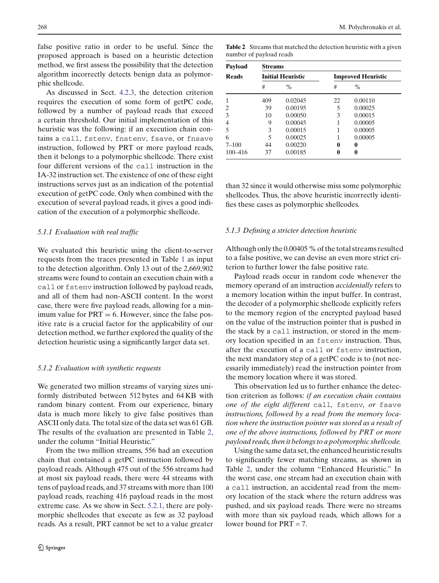false positive ratio in order to be useful. Since the proposed approach is based on a heuristic detection method, we first assess the possibility that the detection algorithm incorrectly detects benign data as polymorphic shellcode.

As discussed in Sect. [4.2.3,](#page-8-0) the detection criterion requires the execution of some form of getPC code, followed by a number of payload reads that exceed a certain threshold. Our initial implementation of this heuristic was the following: if an execution chain contains a call, fstenv, fnstenv, fsave, or fnsave instruction, followed by PRT or more payload reads, then it belongs to a polymorphic shellcode. There exist four different versions of the call instruction in the IA-32 instruction set. The existence of one of these eight instructions serves just as an indication of the potential execution of getPC code. Only when combined with the execution of several payload reads, it gives a good indication of the execution of a polymorphic shellcode.

# *5.1.1 Evaluation with real traffic*

We evaluated this heuristic using the client-to-server requests from the traces presented in Table [1](#page-10-3) as input to the detection algorithm. Only 13 out of the 2,669,902 streams were found to contain an execution chain with a call or fstenv instruction followed by payload reads, and all of them had non-ASCII content. In the worst case, there were five payload reads, allowing for a minimum value for  $PRT = 6$ . However, since the false positive rate is a crucial factor for the applicability of our detection method, we further explored the quality of the detection heuristic using a significantly larger data set.

#### *5.1.2 Evaluation with synthetic requests*

We generated two million streams of varying sizes uniformly distributed between 512 bytes and 64 KB with random binary content. From our experience, binary data is much more likely to give false positives than ASCII only data. The total size of the data set was 61 GB. The results of the evaluation are presented in Table [2,](#page-11-0) under the column "Initial Heuristic."

From the two million streams, 556 had an execution chain that contained a getPC instruction followed by payload reads. Although 475 out of the 556 streams had at most six payload reads, there were 44 streams with tens of payload reads, and 37 streams with more than 100 payload reads, reaching 416 payload reads in the most extreme case. As we show in Sect. [5.2.1,](#page-12-0) there are polymorphic shellcodes that execute as few as 32 payload reads. As a result, PRT cannot be set to a value greater

<span id="page-11-0"></span>**Table 2** Streams that matched the detection heuristic with a given number of payload reads

| Payload      | <b>Streams</b>           |               |                           |               |
|--------------|--------------------------|---------------|---------------------------|---------------|
| <b>Reads</b> | <b>Initial Heuristic</b> |               | <b>Improved Heuristic</b> |               |
|              | #                        | $\frac{0}{0}$ | #                         | $\frac{0}{0}$ |
|              | 409                      | 0.02045       | 22                        | 0.00110       |
| 2            | 39                       | 0.00195       | 5                         | 0.00025       |
| 3            | 10                       | 0.00050       | 3                         | 0.00015       |
| 4            | 9                        | 0.00045       |                           | 0.00005       |
| 5            | 3                        | 0.00015       |                           | 0.00005       |
| 6            | 5                        | 0.00025       |                           | 0.00005       |
| $7 - 100$    | 44                       | 0.00220       | 0                         | 0             |
| $100 - 416$  | 37                       | 0.00185       | 0                         | 0             |

than 32 since it would otherwise miss some polymorphic shellcodes. Thus, the above heuristic incorrectly identifies these cases as polymorphic shellcodes.

#### *5.1.3 Defining a stricter detection heuristic*

Although only the 0.00405 % of the total streams resulted to a false positive, we can devise an even more strict criterion to further lower the false positive rate.

Payload reads occur in random code whenever the memory operand of an instruction *accidentally* refers to a memory location within the input buffer. In contrast, the decoder of a polymorphic shellcode explicitly refers to the memory region of the encrypted payload based on the value of the instruction pointer that is pushed in the stack by a call instruction, or stored in the memory location specified in an fstenv instruction. Thus, after the execution of a call or fstenv instruction, the next mandatory step of a getPC code is to (not necessarily immediately) read the instruction pointer from the memory location where it was stored.

This observation led us to further enhance the detection criterion as follows: *if an execution chain contains one of the eight different* call*,* fstenv*, or* fsave *instructions, followed by a read from the memory location where the instruction pointer was stored as a result of one of the above instructions, followed by PRT or more payload reads, then it belongs to a polymorphic shellcode.*

Using the same data set, the enhanced heuristic results to significantly fewer matching streams, as shown in Table [2,](#page-11-0) under the column "Enhanced Heuristic." In the worst case, one stream had an execution chain with a call instruction, an accidental read from the memory location of the stack where the return address was pushed, and six payload reads. There were no streams with more than six payload reads, which allows for a lower bound for  $PRT = 7$ .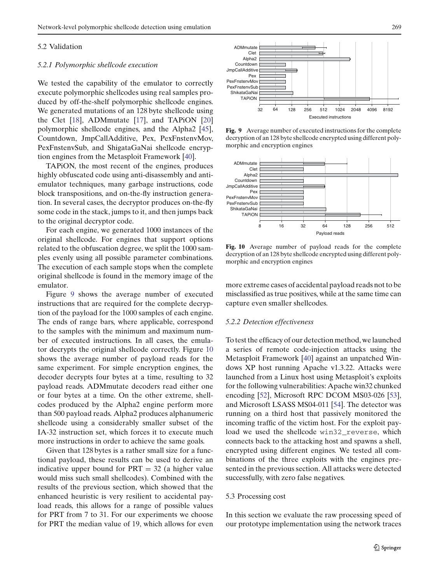#### <span id="page-12-0"></span>5.2 Validation

#### *5.2.1 Polymorphic shellcode execution*

We tested the capability of the emulator to correctly execute polymorphic shellcodes using real samples produced by off-the-shelf polymorphic shellcode engines. We generated mutations of an 128 byte shellcode using the Clet [\[18\]](#page-16-36), ADMmutate [\[17\]](#page-16-7), and TAPiON [\[20\]](#page-16-8) polymorphic shellcode engines, and the Alpha2 [\[45](#page-16-34)], Countdown, JmpCallAdditive, Pex, PexFnstenvMov, PexFnstenvSub, and ShigataGaNai shellcode encryption engines from the Metasploit Framework [\[40](#page-16-29)].

TAPiON, the most recent of the engines, produces highly obfuscated code using anti-disassembly and antiemulator techniques, many garbage instructions, code block transpositions, and on-the-fly instruction generation. In several cases, the decryptor produces on-the-fly some code in the stack, jumps to it, and then jumps back to the original decryptor code.

For each engine, we generated 1000 instances of the original shellcode. For engines that support options related to the obfuscation degree, we split the 1000 samples evenly using all possible parameter combinations. The execution of each sample stops when the complete original shellcode is found in the memory image of the emulator.

Figure [9](#page-12-2) shows the average number of executed instructions that are required for the complete decryption of the payload for the 1000 samples of each engine. The ends of range bars, where applicable, correspond to the samples with the minimum and maximum number of executed instructions. In all cases, the emulator decrypts the original shellcode correctly. Figure [10](#page-12-3) shows the average number of payload reads for the same experiment. For simple encryption engines, the decoder decrypts four bytes at a time, resulting to 32 payload reads. ADMmutate decoders read either one or four bytes at a time. On the other extreme, shellcodes produced by the Alpha2 engine perform more than 500 payload reads. Alpha2 produces alphanumeric shellcode using a considerably smaller subset of the IA-32 instruction set, which forces it to execute much more instructions in order to achieve the same goals.

Given that 128 bytes is a rather small size for a functional payload, these results can be used to derive an indicative upper bound for  $PRT = 32$  (a higher value would miss such small shellcodes). Combined with the results of the previous section, which showed that the enhanced heuristic is very resilient to accidental payload reads, this allows for a range of possible values for PRT from 7 to 31. For our experiments we choose for PRT the median value of 19, which allows for even



**Fig. 9** Average number of executed instructions for the complete decryption of an 128 byte shellcode encrypted using different polymorphic and encryption engines

<span id="page-12-2"></span>

<span id="page-12-3"></span>**Fig. 10** Average number of payload reads for the complete decryption of an 128 byte shellcode encrypted using different polymorphic and encryption engines

more extreme cases of accidental payload reads not to be misclassified as true positives, while at the same time can capture even smaller shellcodes.

#### *5.2.2 Detection effectiveness*

To test the efficacy of our detection method, we launched a series of remote code-injection attacks using the Metasploit Framework [\[40\]](#page-16-29) against an unpatched Windows XP host running Apache v1.3.22. Attacks were launched from a Linux host using Metasploit's exploits for the following vulnerabilities: Apache win32 chunked encoding [\[52](#page-17-5)], Microsoft RPC DCOM MS03-026 [\[53](#page-17-6)], and Microsoft LSASS MS04-011 [\[54](#page-17-7)]. The detector was running on a third host that passively monitored the incoming traffic of the victim host. For the exploit payload we used the shellcode win32\_reverse, which connects back to the attacking host and spawns a shell, encrypted using different engines. We tested all combinations of the three exploits with the engines presented in the previous section. All attacks were detected successfully, with zero false negatives.

#### <span id="page-12-1"></span>5.3 Processing cost

In this section we evaluate the raw processing speed of our prototype implementation using the network traces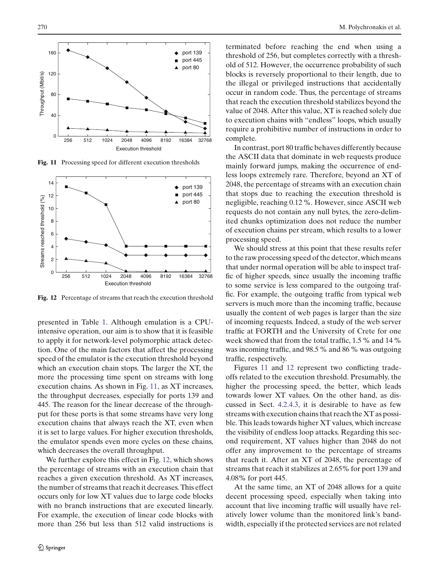

**Fig. 11** Processing speed for different execution thresholds

<span id="page-13-0"></span>

<span id="page-13-1"></span>**Fig. 12** Percentage of streams that reach the execution threshold

presented in Table [1.](#page-10-3) Although emulation is a CPUintensive operation, our aim is to show that it is feasible to apply it for network-level polymorphic attack detection. One of the main factors that affect the processing speed of the emulator is the execution threshold beyond which an execution chain stops. The larger the XT, the more the processing time spent on streams with long execution chains. As shown in Fig. [11,](#page-13-0) as XT increases, the throughput decreases, especially for ports 139 and 445. The reason for the linear decrease of the throughput for these ports is that some streams have very long execution chains that always reach the XT, even when it is set to large values. For higher execution thresholds, the emulator spends even more cycles on these chains, which decreases the overall throughput.

We further explore this effect in Fig. [12,](#page-13-1) which shows the percentage of streams with an execution chain that reaches a given execution threshold. As XT increases, the number of streams that reach it decreases. This effect occurs only for low XT values due to large code blocks with no branch instructions that are executed linearly. For example, the execution of linear code blocks with more than 256 but less than 512 valid instructions is terminated before reaching the end when using a threshold of 256, but completes correctly with a threshold of 512. However, the occurrence probability of such blocks is reversely proportional to their length, due to the illegal or privileged instructions that accidentally occur in random code. Thus, the percentage of streams that reach the execution threshold stabilizes beyond the value of 2048. After this value, XT is reached solely due to execution chains with "endless" loops, which usually require a prohibitive number of instructions in order to complete.

In contrast, port 80 traffic behaves differently because the ASCII data that dominate in web requests produce mainly forward jumps, making the occurrence of endless loops extremely rare. Therefore, beyond an XT of 2048, the percentage of streams with an execution chain that stops due to reaching the execution threshold is negligible, reaching 0.12 %. However, since ASCII web requests do not contain any null bytes, the zero-delimited chunks optimization does not reduce the number of execution chains per stream, which results to a lower processing speed.

We should stress at this point that these results refer to the raw processing speed of the detector, which means that under normal operation will be able to inspect traffic of higher speeds, since usually the incoming traffic to some service is less compared to the outgoing traffic. For example, the outgoing traffic from typical web servers is much more than the incoming traffic, because usually the content of web pages is larger than the size of incoming requests. Indeed, a study of the web server traffic at FORTH and the University of Crete for one week showed that from the total traffic, 1.5 % and 14 % was incoming traffic, and 98.5 % and 86 % was outgoing traffic, respectively.

Figures [11](#page-13-0) and [12](#page-13-1) represent two conflicting tradeoffs related to the execution threshold. Presumably, the higher the processing speed, the better, which leads towards lower XT values. On the other hand, as discussed in Sect. [4.2.4.3,](#page-9-0) it is desirable to have as few streams with execution chains that reach the XT as possible. This leads towards higher XT values, which increase the visibility of endless loop attacks. Regarding this second requirement, XT values higher than 2048 do not offer any improvement to the percentage of streams that reach it. After an XT of 2048, the percentage of streams that reach it stabilizes at 2.65% for port 139 and 4.08% for port 445.

At the same time, an XT of 2048 allows for a quite decent processing speed, especially when taking into account that live incoming traffic will usually have relatively lower volume than the monitored link's bandwidth, especially if the protected services are not related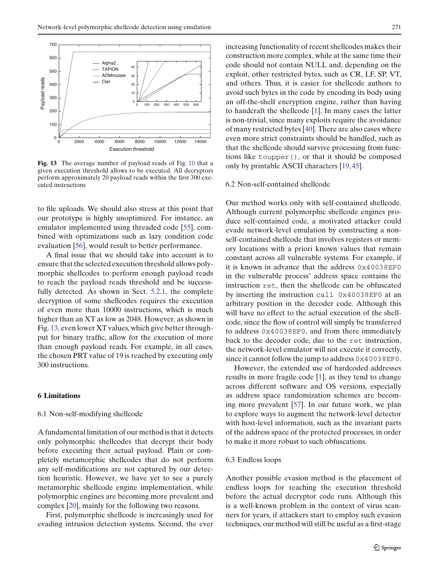

<span id="page-14-1"></span>**Fig. 13** The average number of payload reads of Fig. [10](#page-12-3) that a given execution threshold allows to be executed. All decryptors perform approximately 20 payload reads within the first 300 executed instructions

to file uploads. We should also stress at this point that our prototype is highly unoptimized. For instance, an emulator implemented using threaded code [\[55\]](#page-17-8), combined with optimizations such as lazy condition code evaluation [\[56](#page-17-9)], would result to better performance.

A final issue that we should take into account is to ensure that the selected execution threshold allows polymorphic shellcodes to perform enough payload reads to reach the payload reads threshold and be successfully detected. As shown in Sect. [5.2.1,](#page-12-0) the complete decryption of some shellcodes requires the execution of even more than 10000 instructions, which is much higher than an XT as low as 2048. However, as shown in Fig. [13,](#page-14-1) even lower XT values, which give better throughput for binary traffic, allow for the execution of more than enough payload reads. For example, in all cases, the chosen PRT value of 19 is reached by executing only 300 instructions.

# <span id="page-14-0"></span>**6 Limitations**

## 6.1 Non-self-modifying shellcode

A fundamental limitation of our method is that it detects only polymorphic shellcodes that decrypt their body before executing their actual payload. Plain or completely metamorphic shellcodes that do not perform any self-modifications are not captured by our detection heuristic. However, we have yet to see a purely metamorphic shellcode engine implementation, while polymorphic engines are becoming more prevalent and complex [\[20](#page-16-8)], mainly for the following two reasons.

First, polymorphic shellcode is increasingly used for evading intrusion detection systems. Second, the ever increasing functionality of recent shellcodes makes their construction more complex, while at the same time their code should not contain NULL and, depending on the exploit, other restricted bytes, such as CR, LF, SP, VT, and others. Thus, it is easier for shellcode authors to avoid such bytes in the code by encoding its body using an off-the-shelf encryption engine, rather than having to handcraft the shellcode [\[1](#page-15-0)]. In many cases the latter is non-trivial, since many exploits require the avoidance of many restricted bytes [\[40](#page-16-29)]. There are also cases where even more strict constraints should be handled, such as that the shellcode should survive processing from functions like toupper(), or that it should be composed only by printable ASCII characters [\[19,](#page-16-37)[45](#page-16-34)].

## 6.2 Non-self-contained shellcode

Our method works only with self-contained shellcode. Although current polymorphic shellcode engines produce self-contained code, a motivated attacker could evade network-level emulation by constructing a nonself-contained shellcode that involves registers or memory locations with a priori known values that remain constant across all vulnerable systems. For example, if it is known in advance that the address 0x40038EF0 in the vulnerable process' address space contains the instruction ret, then the shellcode can be obfuscated by inserting the instruction call 0x40038EF0 at an arbitrary position in the decoder code. Although this will have no effect to the actual execution of the shellcode, since the flow of control will simply be transferred to address 0x40038EF0, and from there immediately back to the decoder code, due to the ret instruction, the network-level emulator will not execute it correctly, since it cannot follow the jump to address  $0 \times 40038EFO$ .

However, the extended use of hardcoded addresses results in more fragile code [\[1\]](#page-15-0), as they tend to change across different software and OS versions, especially as address space randomization schemes are becoming more prevalent [\[57](#page-17-10)]. In our future work, we plan to explore ways to augment the network-level detector with host-level information, such as the invariant parts of the address space of the protected processes, in order to make it more robust to such obfuscations.

#### 6.3 Endless loops

Another possible evasion method is the placement of endless loops for reaching the execution threshold before the actual decryptor code runs. Although this is a well-known problem in the context of virus scanners for years, if attackers start to employ such evasion techniques, our method will still be useful as a first-stage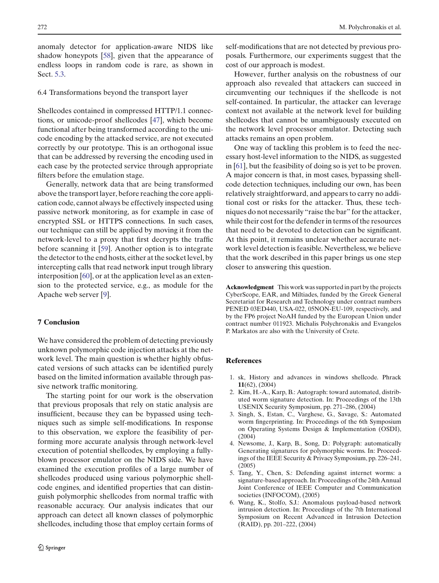anomaly detector for application-aware NIDS like shadow honeypots [\[58\]](#page-17-11), given that the appearance of endless loops in random code is rare, as shown in Sect. [5.3.](#page-12-1)

#### 6.4 Transformations beyond the transport layer

Shellcodes contained in compressed HTTP/1.1 connections, or unicode-proof shellcodes [\[47\]](#page-17-0), which become functional after being transformed according to the unicode encoding by the attacked service, are not executed correctly by our prototype. This is an orthogonal issue that can be addressed by reversing the encoding used in each case by the protected service through appropriate filters before the emulation stage.

Generally, network data that are being transformed above the transport layer, before reaching the core application code, cannot always be effectively inspected using passive network monitoring, as for example in case of encrypted SSL or HTTPS connections. In such cases, our technique can still be applied by moving it from the network-level to a proxy that first decrypts the traffic before scanning it [\[59\]](#page-17-12). Another option is to integrate the detector to the end hosts, either at the socket level, by intercepting calls that read network input trough library interposition [\[60\]](#page-17-13), or at the application level as an extension to the protected service, e.g., as module for the Apache web server [\[9\]](#page-16-20).

## <span id="page-15-2"></span>**7 Conclusion**

We have considered the problem of detecting previously unknown polymorphic code injection attacks at the network level. The main question is whether highly obfuscated versions of such attacks can be identified purely based on the limited information available through passive network traffic monitoring.

The starting point for our work is the observation that previous proposals that rely on static analysis are insufficient, because they can be bypassed using techniques such as simple self-modifications. In response to this observation, we explore the feasibility of performing more accurate analysis through network-level execution of potential shellcodes, by employing a fullyblown processor emulator on the NIDS side. We have examined the execution profiles of a large number of shellcodes produced using various polymorphic shellcode engines, and identified properties that can distinguish polymorphic shellcodes from normal traffic with reasonable accuracy. Our analysis indicates that our approach can detect all known classes of polymorphic shellcodes, including those that employ certain forms of self-modifications that are not detected by previous proposals. Furthermore, our experiments suggest that the cost of our approach is modest.

However, further analysis on the robustness of our approach also revealed that attackers can succeed in circumventing our techniques if the shellcode is not self-contained. In particular, the attacker can leverage context not available at the network level for building shellcodes that cannot be unambiguously executed on the network level processor emulator. Detecting such attacks remains an open problem.

One way of tackling this problem is to feed the necessary host-level information to the NIDS, as suggested in [\[61\]](#page-17-14), but the feasibility of doing so is yet to be proven. A major concern is that, in most cases, bypassing shellcode detection techniques, including our own, has been relatively straightforward, and appears to carry no additional cost or risks for the attacker. Thus, these techniques do not necessarily "raise the bar" for the attacker, while their cost for the defender in terms of the resources that need to be devoted to detection can be significant. At this point, it remains unclear whether accurate network level detection is feasible. Nevertheless, we believe that the work described in this paper brings us one step closer to answering this question.

**Acknowledgment** This work was supported in part by the projects CyberScope, EAR, and Miltiades, funded by the Greek General Secretariat for Research and Technology under contract numbers PENED 03ED440, USA-022, 05NON-EU-109, respectively, and by the FP6 project NoAH funded by the European Union under contract number 011923. Michalis Polychronakis and Evangelos P. Markatos are also with the University of Crete.

### <span id="page-15-0"></span>**References**

- 1. sk, History and advances in windows shellcode. Phrack **11**(62), (2004)
- <span id="page-15-1"></span>2. Kim, H.-A., Karp, B.: Autograph: toward automated, distributed worm signature detection. In: Proceedings of the 13th USENIX Security Symposium, pp. 271–286, (2004)
- <span id="page-15-3"></span>3. Singh, S., Estan, C., Varghese, G., Savage, S.: Automated worm fingerprinting. In: Proceedings of the 6th Symposium on Operating Systems Design & Implementation (OSDI), (2004)
- <span id="page-15-4"></span>4. Newsome, J., Karp, B., Song, D.: Polygraph: automatically Generating signatures for polymorphic worms. In: Proceedings of the IEEE Security & Privacy Symposium, pp. 226–241, (2005)
- <span id="page-15-6"></span>5. Tang, Y., Chen, S.: Defending against internet worms: a signature-based approach. In: Proceedings of the 24th Annual Joint Conference of IEEE Computer and Communication societies (INFOCOM), (2005)
- <span id="page-15-5"></span>6. Wang, K., Stolfo, S.J.: Anomalous payload-based network intrusion detection. In: Proceedings of the 7th International Symposium on Recent Advanced in Intrusion Detection (RAID), pp. 201–222, (2004)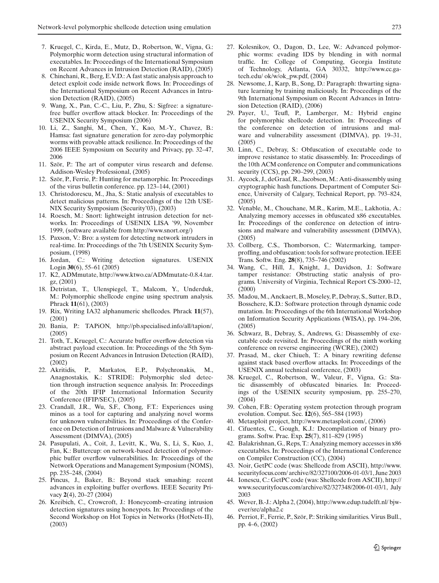- <span id="page-16-18"></span>7. Kruegel, C., Kirda, E., Mutz, D., Robertson, W., Vigna, G.: Polymorphic worm detection using structural information of executables. In: Proceedings of the International Symposium on Recent Advances in Intrusion Detection (RAID), (2005)
- <span id="page-16-19"></span>8. Chinchani, R., Berg, E.V.D.: A fast static analysis approach to detect exploit code inside network flows. In: Proceedings of the International Symposium on Recent Advances in Intrusion Detection (RAID), (2005)
- <span id="page-16-20"></span>9. Wang, X., Pan, C.-C., Liu, P., Zhu, S.: Sigfree: a signaturefree buffer overflow attack blocker. In: Proceedings of the USENIX Security Symposium (2006)
- <span id="page-16-0"></span>10. Li, Z., Sanghi, M., Chen, Y., Kao, M.-Y., Chavez, B.: Hamsa: fast signature generation for zero-day polymorphic worms with provable attack resilience. In: Proceedings of the 2006 IEEE Symposium on Security and Privacy, pp. 32–47, 2006
- <span id="page-16-1"></span>11. Ször, P.: The art of computer virus research and defense. Addison-Wesley Professional, (2005)
- <span id="page-16-2"></span>12. Ször, P., Ferrie, P.: Hunting for metamorphic. In: Proceedings of the virus bulletin conference. pp. 123–144, (2001)
- <span id="page-16-3"></span>13. Christodorescu, M., Jha, S.: Static analysis of executables to detect malicious patterns. In: Proceedings of the 12th USE-NIX Security Symposium (Security'03), (2003)
- <span id="page-16-4"></span>14. Roesch, M.: Snort: lightweight intrusion detection for networks. In: Proceedings of USENIX LISA '99, November 1999, (software available from http://www.snort.org/)
- <span id="page-16-5"></span>15. Paxson, V.: Bro: a system for detecting network intruders in real-time. In: Proceedings of the 7th USENIX Security Symposium, (1998)
- <span id="page-16-6"></span>16. Jordan, C.: Writing detection signatures. USENIX Login **30**(6), 55–61 (2005)
- <span id="page-16-7"></span>17. K2, ADMmutate, http://www.ktwo.ca/ADMmutate-0.8.4.tar. gz, (2001)
- <span id="page-16-36"></span>18. Detristan, T., Ulenspiegel, T., Malcom, Y., Underduk, M.: Polymorphic shellcode engine using spectrum analysis. Phrack **11**(61), (2003)
- <span id="page-16-37"></span>19. Rix, Writing IA32 alphanumeric shellcodes. Phrack **11**(57), (2001)
- <span id="page-16-8"></span>20. Bania, P.: TAPiON, http://pb.specialised.info/all/tapion/, (2005)
- <span id="page-16-9"></span>21. Toth, T., Kruegel, C.: Accurate buffer overflow detection via abstract payload execution. In: Proceedings of the 5th Symposium on Recent Advances in Intrusion Detection (RAID), (2002)
- <span id="page-16-10"></span>22. Akritidis, P., Markatos, E.P., Polychronakis, M., Anagnostakis, K.: STRIDE: Polymorphic sled detection through instruction sequence analysis. In: Proceedings of the 20th IFIP International Information Security Conference (IFIP/SEC), (2005)
- <span id="page-16-11"></span>23. Crandall, J.R., Wu, S.F., Chong, F.T.: Experiences using minos as a tool for capturing and analyzing novel worms for unknown vulnerabilities. In: Proceedings of the Conference on Detection of Intrusions and Malware & Vulnerability Assessment (DIMVA), (2005)
- <span id="page-16-12"></span>24. Pasupulati, A., Coit, J., Levitt, K., Wu, S., Li, S., Kuo, J., Fan, K.: Buttercup: on network-based detection of polymorphic buffer overflow vulnerabilities. In: Proceedings of the Network Operations and Management Symposium (NOMS), pp. 235–248, (2004)
- <span id="page-16-13"></span>25. Pincus, J., Baker, B.: Beyond stack smashing: recent advances in exploiting buffer overflows. IEEE Security Privacy **2**(4), 20–27 (2004)
- <span id="page-16-14"></span>26. Kreibich, C., Crowcroft, J.: Honeycomb–creating intrusion detection signatures using honeypots. In: Proceedings of the Second Workshop on Hot Topics in Networks (HotNets-II), (2003)
- <span id="page-16-15"></span>27. Kolesnikov, O., Dagon, D., Lee, W.: Advanced polymorphic worms: evading IDS by blending in with normal traffic. In: College of Computing, Georgia Institute of Technology, Atlanta, GA 30332, http://www.cc.gatech.edu/ ok/w/ok\_pw.pdf, (2004)
- <span id="page-16-16"></span>28. Newsome, J., Karp, B., Song, D.: Paragraph: thwarting signature learning by training maliciously. In: Proceedings of the 9th International Symposium on Recent Advances in Intrusion Detection (RAID), (2006)
- <span id="page-16-17"></span>29. Payer, U., Teufl, P., Lamberger, M.: Hybrid engine for polymorphic shellcode detection. In: Proceedings of the conference on detection of intrusions and malware and vulnerability assessment (DIMVA), pp. 19–31, (2005)
- <span id="page-16-21"></span>30. Linn, C., Debray, S.: Obfuscation of executable code to improve resistance to static disassembly. In: Proceedings of the 10th ACM conference on Computer and communications security (CCS), pp. 290–299, (2003)
- 31. Aycock, J., deGraaf, R., Jacobson, M.: Anti-disassembly using cryptographic hash functions. Department of Computer Science, University of Calgary, Technical Report, pp. 793–824, (2005)
- <span id="page-16-22"></span>32. Venable, M., Chouchane, M.R., Karim, M.E., Lakhotia, A.: Analyzing memory accesses in obfuscated x86 executables. In: Proceedings of the conference on detection of intrusions and malware and vulnerability assessment (DIMVA), (2005)
- <span id="page-16-23"></span>33. Collberg, C.S., Thomborson, C.: Watermarking, tamperproffing, and obfuscation: tools for software protection. IEEE Trans. Softw. Eng. **28**(8), 735–746 (2002)
- 34. Wang, C., Hill, J., Knight, J., Davidson, J.: Software tamper resistance: Obstructing static analysis of programs. University of Virginia, Technical Report CS-2000–12, (2000)
- <span id="page-16-24"></span>35. Madou, M., Anckaert, B., Moseley, P., Debray, S., Sutter, B.D., Bosschere, K.D.: Software protection through dynamic code mutation. In: Proceedings of the 6th International Workshop on Information Security Applications (WISA), pp. 194–206, (2005)
- <span id="page-16-25"></span>36. Schwarz, B., Debray, S., Andrews, G.: Disassembly of executable code revisited. In: Proceedings of the ninth working conference on reverse engineering (WCRE), (2002)
- <span id="page-16-26"></span>37. Prasad, M., cker Chiueh, T.: A binary rewriting defense against stack based overflow attacks. In: Proceedings of the USENIX annual technical conference, (2003)
- <span id="page-16-27"></span>38. Kruegel, C., Robertson, W., Valeur, F., Vigna, G.: Static disassembly of obfuscated binaries. In: Proceedings of the USENIX security symposium, pp. 255–270, (2004)
- <span id="page-16-28"></span>39. Cohen, F.B.: Operating system protection through program evolution. Comput. Sec. **12**(6), 565–584 (1993)
- <span id="page-16-29"></span>40. Metasploit project, http://www.metasploit.com/, (2006)
- <span id="page-16-30"></span>41. Cifuentes, C., Gough, K.J.: Decompilation of binary programs. Softw. Prac. Exp. **25**(7), 811–829 (1995)
- <span id="page-16-31"></span>42. Balakrishnan, G., Reps, T.: Analyzing memory accesses in x86 executables. In: Proceedings of the International Conference on Compiler Construction (CC), (2004)
- <span id="page-16-32"></span>43. Noir, GetPC code (was: Shellcode from ASCII), http://www. securityfocus.com/ archive/82/327100/2006-01-03/1, June 2003
- <span id="page-16-33"></span>44. Ionescu, C.: GetPC code (was: Shellcode from ASCII), http:// www.securityfocus.com/archive/82/327348/2006-01-03/1, July 2003
- <span id="page-16-34"></span>45. Wever, B.-J.: Alpha 2, (2004), http://www.edup.tudelft.nl/ bjwever/src/alpha2.c
- <span id="page-16-35"></span>46. Perriot, F., Ferrie, P., Ször, P.: Striking similarities. Virus Bull., pp. 4–6, (2002)